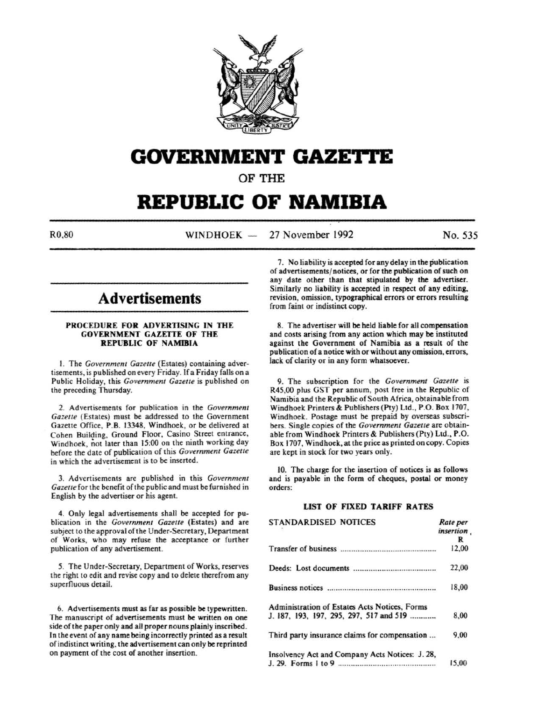

# **GOVERNMENT GAZETTE**

OF THE

# **REPUBLIC OF NAMIBIA**

 $R0.80$  WINDHOEK - 27 November 1992 No. 535

# **Advertisements**

#### PROCEDURE FOR ADVERTISING IN THE GOVERNMENT GAZETTE OF THE REPUBLIC OF NAMIBIA

I. The *Government Gazette* (Estates) containing advertisements, is published on every Friday. If a Friday falls on a Public Holiday, this *Government Gazelle* is published on the preceding Thursday.

2. Advertisements for publication in the *Government Gazelle* (Estates) must be addressed to the Government Gazette Office, P.B. 13348, Windhoek, or be delivered at Cohen Building, Ground Floor, Casino Street entrance, Windhoek, not later than 15:00 on the ninth working day before the date of publication of this *Government Gazette* in which the advertisement is to be inserted.

3. Advertisements are published in this *Government Gazette* for the benefit of the public and must be furnished in English by the advertiser or his agent.

4. Only legal advertisements shall be accepted for publication in the *Government Gazette* (Estates) and are subject to the approval of the Under-Secretary, Department of Works, who may refuse the acceptance or further publication of any advertisement.

*5.* The Under-Secretary, Department of Works, reserves the right to edit and revise copy and to delete therefrom any superfluous detail.

6. Advertisements must as far as possible be typewritten. The manuscript of advertisements must be written on one side of the paper only and all proper nouns plainly inscribed. In the event of any name being incorrectly printed as a result of indistinct writing. the advertisement can only be reprinted on payment of the cost of another insertion.

7. No liability is accepted for any delay in the publication of advertisements/ notices, or for the publication of such on any date other than that stipulated by the advertiser. Similarly no liability is accepted in respect of any editing, revision, omission, typographical errors or errors resulting from faint or indistinct copy.

8. The advertiser will be held liable for all compensation and costs arising from any action which may be instituted against the Government of Namibia as a result of the publication of a notice with or without any omission, errors, lack of clarity or in any form whatsoever.

9. The subscription for the *Government Gazette* is R45,00 plus GST per annum, post free in the Republic of Namibia and the Republic of South Africa, obtainable from Windhoek Printers & Publishers (Pty) Ltd., P.O. Box 1707, Windhoek. Postage must be prepaid by overseas subscribers. Single copies of the *Government Gazette* are obtainable from Windhoek Printers & Publishers (Pty) Ltd., P.O. Box 1707, Windhoek, at the price as printed on copy. Copies are kept in stock for two years only.

10. The charge for the insertion of notices is as follows and is payable in the form of cheques, postal or money orders:

# LIST OF FIXED TARIFF RATES

| <b>STANDARDISED NOTICES</b>                     | Rate per<br>insertion. |
|-------------------------------------------------|------------------------|
|                                                 | R                      |
|                                                 | 12.00                  |
|                                                 | 22,00                  |
|                                                 | 18,00                  |
| Administration of Estates Acts Notices, Forms   |                        |
| J. 187, 193, 197, 295, 297, 517 and 519         | 8.00                   |
| Third party insurance claims for compensation   | 9.00                   |
| Insolvency Act and Company Acts Notices: J. 28, |                        |
|                                                 | 15.00                  |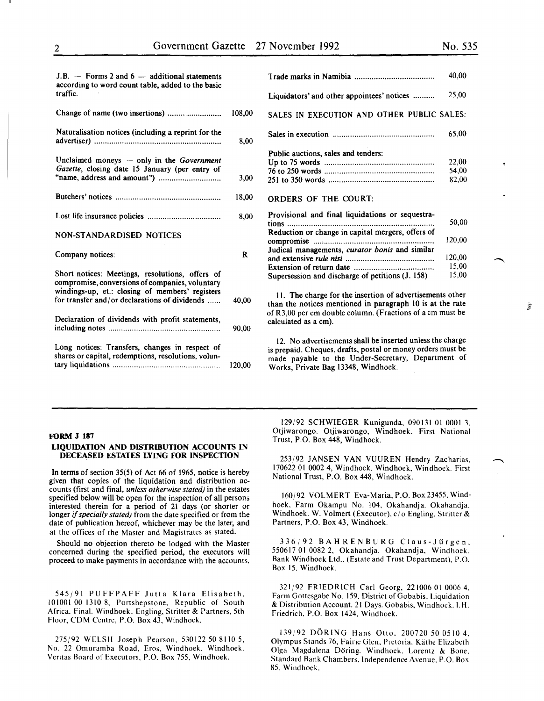| J.B. $-$ Forms 2 and 6 $-$ additional statements<br>according to word count table, added to the basic<br>traffic.                                     |        |
|-------------------------------------------------------------------------------------------------------------------------------------------------------|--------|
| Change of name (two insertions)                                                                                                                       | 108,00 |
| Naturalisation notices (including a reprint for the                                                                                                   | 8.00   |
| Unclaimed moneys — only in the Government<br>Gazette, closing date 15 January (per entry of                                                           | 3,00   |
|                                                                                                                                                       | 18,00  |
|                                                                                                                                                       | 8,00   |
| NON-STANDARDISED NOTICES                                                                                                                              |        |
| Company notices:                                                                                                                                      | R      |
| Short notices: Meetings, resolutions, offers of<br>compromise, conversions of companies, voluntary<br>windings-up, et.: closing of members' registers |        |
| for transfer and/or declarations of dividends                                                                                                         | 40,00  |
| Declaration of dividends with profit statements,                                                                                                      | 90,00  |
|                                                                                                                                                       |        |

|                                                       | 40,00  |
|-------------------------------------------------------|--------|
| Liquidators' and other appointees' notices            | 25,00  |
| SALES IN EXECUTION AND OTHER PUBLIC SALES:            |        |
|                                                       | 65,00  |
| Public auctions, sales and tenders:                   |        |
|                                                       | 22,00  |
|                                                       | 54,00  |
|                                                       | 82,00  |
| ORDERS OF THE COURT:                                  |        |
| Provisional and final liquidations or sequestra-      |        |
|                                                       | 50,00  |
| Reduction or change in capital mergers, offers of     |        |
|                                                       | 120,00 |
| Judical managements, <i>curator bonis</i> and similar |        |
|                                                       | 120,00 |
|                                                       | 15,00  |
| Supersession and discharge of petitions (J. 158)      | 15,00  |

ll. The charge for the insertion of advertisements other than the notices mentioned in paragraph 10 is at the rate of R3,00 per em double column. (Fractions of a em must be calculated as a em).

12. No advertisements shall be inserted unless the charge is prepaid. Cheques, drafts, postal or money orders must be made payable to the Under-Secretary, Department of Works, Private Bag 13348, Windhoek.

#### FORM J 187

# LIQUIDATION AND DISTRIBUTION ACCOUNTS IN DECEASED ESTATES LYING FOR INSPECTION

In terms of section 35(5) of Act 66 of 1965, notice is hereby given that copies of the liquidation and distribution accounts (first and final, *unless otherwise stated)* in the estates specified below will be open for the inspection of all persons interested therein for a period of 21 days (or shorter or longer if *specially stated)* from the date specified or from the date of publication hereof, whichever may be the later, and at the offices of the Master and Magistrates as stated.

Should no objection thereto be lodged with the Master concerned during the specified period, the executors will proceed to make payments in accordance with the accounts.

545/91 PUFFPAFF Jutta Klara Elisabeth, 101001 00 1310 8, Portshepstone, Republic of South Africa. Final. Windhoek. Engling, Stritter & Partners, 5th Floor, COM Centre, P.O. Box 43, Windhoek.

275/92 WELSH Joseph Pearson, 530122 50 8110 5, No. 22 Omuramba Road, Eros, Windhoek. Windhoek. Yeritas Board of Executors. P.O. Box 755, Windhoek.

129/92 SCHWIEGER Kunigunda, 090131 01 0001 3, Otjiwarongo. Otjiwarongo, Windhoek. First National Trust, P.O. Box 448, Windhoek.

253/92 JANSEN VAN YUUREN Hendry Zacharias, 170622 01 0002 4, Windhoek. Windhoek, Windhoek. First National Trust, P.O. Box 448, Windhoek.

160/92 VOLMERT Eva-Maria, P.O. Box23455, Windhoek, Farm Okampu No. 104, Okahandja. Okahandja, Windhoek. W. Volmert (Executor), c/o Engling, Stritter & Partners, P.O. Box 43, Windhoek.

336/92 BAHRENBURG Claus-Jiirgen, 550617 01 0082 2, Okahandja. Okahandja, Windhoek. Bank Windhoek Ltd., (Estate and Trust Department), P.O. Box 15, Windhoek.

321/92 FRIEDRICH Carl Georg, 221006 01 0006 4, Farm Gottesgabe No. 159, District of Gobabis. Liquidation & Distribution Account. 21 Days. Gobabis, Windhoek. I. H. Friedrich. P.O. Box 1424, Windhoek.

139/92 DORING Hans Otto. 200720 50 0510 4. Olympus Stands 76, Fairie Glen. Pretoria. Kathe Elizabeth Olga Magdalena Doring. Windhoek. Lorentz & Bone. Standard Bank Chambers, Independence Avenue. P.O. Box 85, Windhoek.

 $\frac{3\pi}{2}$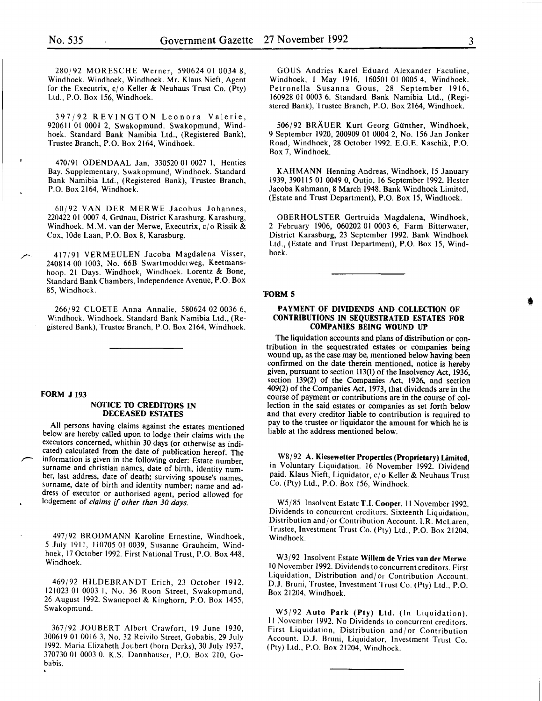280/92 MORESCHE Werner, 590624 01 0034 8, Windhoek. Windhoek, Windhoek. Mr. Klaus Nieft, Agent for the Executrix,  $c/\sigma$  Keller & Neuhaus Trust Co. (Pty) Ltd., P.O. Box 156, Windhoek.

397/92 REVINGTON Leonora Valerie, 920611 01 0001 2, Swakopmund. Swakopmund, Windhoek. Standard Bank Namibia Ltd., (Registered Bank), Trustee Branch, P.O. Box 2164, Windhoek.

470/91 ODENDAAL Jan, 330520 01 0027 I, Henties Bay. Supplementary. Swakopmund, Windhoek. Standard Bank Namibia Ltd., (Registered Bank), Trustee Branch, P.O. Box 2164, Windhoek.

60/92 VANDER MERWE Jacobus Johannes, 220422 01 0007 4, Grünau, District Karasburg. Karasburg, Windhoek. M.M. van der Merwe, Executrix,  $c/\sigma$  Rissik & Cox, lOde Laan, P.O. Box 8, Karasburg.

417/91 VERMEULEN Jacoba Magdalena Visser, 240814 00 1003, No. 66B Swartmodderweg, Keetmanshoop. 21 Days. Windhoek, Windhoek. Lorentz & Bone, Standard Bank Chambers, Independence Avenue, P.O. Box 85, Windhoek.

266/92 CLOETE Anna Annalie, 580624 02 0036 6, Windhoek. Windhoek. Standard Bank Namibia Ltd., (Registered Bank), Trustee Branch, P.O. Box 2164, Windhoek.

# FORM J 193

#### NOTICE TO CREDITORS IN DECEASED ESTATES

All persons having claims against the estates mentioned below are hereby called upon to lodge their claims with the executors concerned, whithin 30 days (or otherwise as indicated) calculated from the date of publication hereof. The information is given in the following order: Estate number, surname and christian names, date of birth, identity number, last address, date of death; surviving spouse's names, surname, date of birth and identity number; name and address of executor or authorised agent, period allowed for lcdgement of *claims* if *other than 30 days.* 

497/92 BRODMANN Karoline Ernestine, Windhoek, 5 July 1911, 110705 01 0039, Susanne Grauheim, Windhoek, 17 October 1992. First National Trust, P.O. Box 448, Windhoek.

469/92 HILDEBRANDT Erich, 23 October 1912, 121023 01 0003 1, No. 36 Roon Street, Swakopmund, 26 August 1992. Swanepoel & Kinghorn, P.O. Box 1455, Swakopmund.

367/92 JOUBERT Albert Crawfort, 19 June 1930, 300619 01 0016 3, No. 32 Reivilo Street, Gobabis, 29 July 1992. Maria Elizabeth Joubert (born Derks), 30 July 1937, 370730 01 0003 0. K.S. Dannhauser, P.O. Box 210, Gobabis.

GOUS Andries Karel Eduard Alexander Faculine, Windhoek, I May 1916, 160501 01 0005 4, Windhoek. Petronella Susanna Gous, 28 September 1916, 160928 01 0003 6. Standard Bank Namibia Ltd., (Registered Bank), Trustee Branch, P.O. Box 2164, Windhoek.

506/92 BRÄUER Kurt Georg Günther, Windhoek, 9 September 1920, 200909 01 0004 2, No. 156 Jan Jonker Road, Windhoek, 28 October 1992. E.G.E. Kaschik, P.O. Box 7, Windhoek.

KAHMANN Henning Andreas, Windhoek, 15 January 1939, 390115 01 0049 0, Outjo, 16 September 1992. Hester Jacoba Kahmann, 8 March 1948. Bank Windhoek Limited, (Estate and Trust Department), P.O. Box 15, Windhoek.

OBERHOLSTER Gertruida Magdalena, Windhoek, 2 February 1906, 060202 OI 0003 6, Farm Bitterwater, District Karasburg, 23 September 1992. Bank Windhoek Ltd., (Estate and Trust Department), P.O. Box 15, Windhoek.

#### 'FORM 5

### PAYMENT OF DIVIDENDS AND COLLECTION OF CONTRIBUTIONS IN SEQUESTRATED ESTATES FOR COMPANIES BEING WOUND UP

The liquidation accounts and plans of distribution or contribution in the sequestrated estates or companies being wound up, as the case may be, mentioned below having been confirmed on the date therein mentioned, notice is hereby given, pursuant to section 113(1) of the Insolvency Act, 1936, section 139(2) of the Companies Act, 1926, and section 409(2) of the Companies Act, 1973, that dividends are in the course of payment or contributions are in the course of collection in the said estates or companies as set forth below and that every creditor liable to contribution is required to pay to the trustee or liquidator the amount for which he is liable at the address mentioned below.

W8/92 A. Kiesewetter Properties (Proprietary) Limited, in Voluntary Liquidation. 16 November 1992. Dividend paid. Klaus Nieft, Liquidator, *cl* o Keller & Neuhaus Trust Co. (Pty) Ltd., P.O. Box 156, Windhoek.

W5185 Insolvent Estate T.I. Cooper. II November 1992. Dividends to concurrent creditors. Sixteenth Liquidation, Distribution and/ or Contribution Account. I.R. McLaren, Trustee, Investment Trust Co. (Pty) Ltd., P.O. Box 21204, Windhoek.

W3/92 Insolvent Estate Willem de Vries van der Merwe. 10 November 1992. Dividends to concurrent creditors. First Liquidation, Distribution and/or Contribution Account. D.J. Bruni, Trustee, Investment Trust Co. (Pty) Ltd., P.O. Box 21204, Windhoek.

W5/92 Auto Park (Pty) Ltd. (In Liquidation). II November 1992. No Dividends to concurrent creditors. First Liquidation, Distribution and/or Contribution Account. D.J. Bruni, Liquidator, Investment Trust Co. (Pty) Ltd., P.O. Box 21204, Windhoek.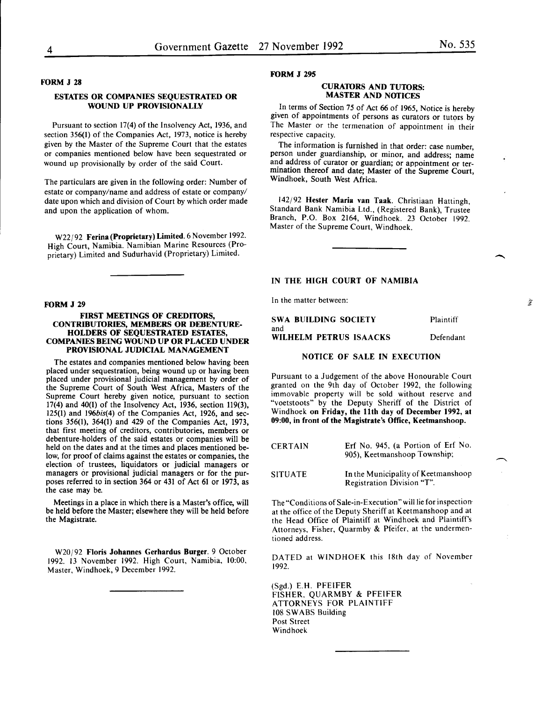# FORM J 28

# ESTATES OR COMPANIES SEQUESTRATED OR WOUND UP PROVISIONALLY

Pursuant to section 17(4) of the Insolvency Act, 1936, and section 356(1) of the Companies Act, 1973, notice is hereby given by the Master of the Supreme Court that the estates or companies mentioned below have been sequestrated or wound up provisionally by order of the said Court.

The particulars are given in the following order: Number of estate or company/name and address of estate or company/ date upon which and division of Court by which order made and upon the application of whom.

W22/92 Ferina (Proprietary) Limited. 6 November 1992. High Court, Namibia. Namibian Marine Resources (Proprietary) Limited and Sudurhavid (Proprietary) Limited.

#### FORM J 29

#### FIRST MEETINGS OF CREDITORS, CONTRIBUTORIES, MEMBERS OR DEBENTURE-HOLDERS OF SEQUESTRATED ESTATES, COMPANIES BEING WOUND UP OR PLACED UNDER PROVISIONAL JUDICIAL MANAGEMENT

The estates and companies mentioned below having been placed under sequestration, being wound up or having been placed under provisional judicial management by order of the Supreme Court of South West Africa, Masters of the Supreme Court hereby given notice, pursuant to section 17(4) and 40(1) of the Insolvency Act, 1936, section 119(3), 125(1) and 196bis(4) of the Companies Act, 1926, and sections 356(1), 364(1) and 429 of the Companies Act, 1973, that first meeting of creditors, contributories, members or debenture-holders of the said estates or companies will be held on the dates and at the times and places mentioned below, for proof of claims against the estates or companies, the election of trustees, liquidators or judicial managers or managers or provisional judicial managers or for the purposes referred to in section 364 or 431 of Act 61 or 1973, as the case may be.

Meetings in a place in which there is a Master's office, will be held before the Master; elsewhere they will be held before the Magistrate.

W20/92 Floris Johannes Gerhardus Burger. 9 October 1992. 13 November 1992. High Court, Namibia, 10:00, Master, Windhoek, 9 December 1992.

#### FORM J 295

#### CURATORS AND TUTORS: MASTER AND NOTICES

In terms of Section 75 of Act 66 of 1965, Notice is hereby given of appointments of persons as curators or tutors by The Master or the termenation of appointment in their respective capacity.

The information is furnished in that order: case number, person under guardianship, or minor, and address; name and address of curator or guardian; or appointment or termination thereof and date; Master of the Supreme Court, Windhoek, South West Africa.

142/92 Hester Maria van Taak. Christiaan Hattingh, Standard Bank Namibia Ltd., (Registered Bank), Trustee Branch, P.O. Box 2164, Windhoek. 23 October 1992. Master of the Supreme Court, Windhoek.

### IN THE HIGH COURT OF NAMIBIA

In the matter between:

| SWA BUILDING SOCIETY   | Plaintiff |
|------------------------|-----------|
| and                    |           |
| WILHELM PETRUS ISAACKS | Defendant |

# NOTICE OF SALE IN EXECUTION

Pursuant to a Judgement of the above Honourable Court granted on the 9th day of October 1992, the following immovable property will be sold without reserve and "voetstoots" by the Deputy Sheriff of the District of Windhoek on Friday, the 11th day of December 1992, at 09:00, in front of the Magistrate's Office, Keetmanshoop.

| <b>CERTAIN</b> | Erf No. 945, (a Portion of Erf No.<br>905), Keetmanshoop Township; |
|----------------|--------------------------------------------------------------------|
| <b>SITUATE</b> | In the Municipality of Keetmanshoop<br>Registration Division "T".  |

The "Conditions of Sale-in-Execution" will lie for inspectionat the office of the Deputy Sheriff at Keetmanshoop and at the Head Office of Plaintiff at Windhoek and Plaintiff's Attorneys, Fisher, Quarmby & Pfeifer, at the undermentioned address.

DATED at WINDHOEK this 18th day of November 1992.

(Sgd.) E.H. PFEIFER FISHER. QUARMBY & PFEIFER ATTORNEYS FOR PLAINTIFF 108 SWABS Building Post Street Windhoek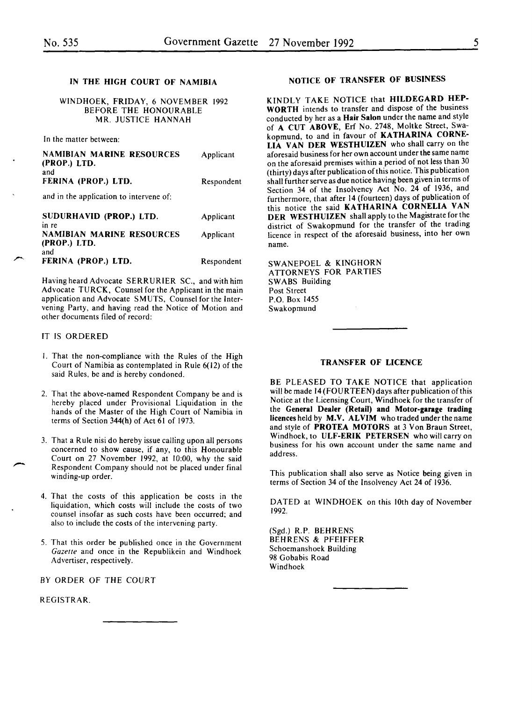# IN THE HIGH COURT OF NAMIBIA

WINDHOEK, FRIDAY, 6 NOVEMBER 1992 BEFORE THE HONOURABLE MR. JUSTICE HANNAH

In the matter between:

| <b>NAMIBIAN MARINE RESOURCES</b><br>(PROP.) LTD.<br>and | Applicant  |
|---------------------------------------------------------|------------|
| FERINA (PROP.) LTD.                                     | Respondent |
| and in the application to intervene of:                 |            |
| SUDURHAVID (PROP.) LTD.<br>in re                        | Applicant  |
| <b>NAMIBIAN MARINE RESOURCES</b><br>(PROP.) LTD.        | Applicant  |
| and<br>FERINA (PROP.) LTD.                              | Respondent |

Having heard Advocate SERRURIER SC., and with him Advocate TURCK, Counsel for the Applicant in the main application and Advocate SMUTS, Counsel for the Intervening Party, and having read the Notice of Motion and other documents filed of record:

### IT IS ORDERED

- I. That the non-compliance with the Rules of the High Court of Namibia as contemplated in Rule 6(12) of the said Rules, be and is hereby condoned.
- 2. That the above-named Respondent Company be and is hereby placed under Provisional Liquidation in the hands of the Master of the High Court of Namibia in terms of Section 344(h) of Act 61 of 1973.
- 3. That a Rule nisi do hereby issue calling upon all persons concerned to show cause, if any, to this Honourable Court on 27 November 1992, at 10:00, why the said Respondent Company should not be placed under final winding-up order.
- 4. That the costs of this application be costs in the liquidation, which costs will include the costs of two counsel insofar as such costs have been occurred; and also to include the costs of the intervening party.
- 5. That this order be published once in the Government *Gazette* and once in the Republikein and Windhoek Advertiser, respectively.

BY ORDER OF THE COURT

REGISTRAR.

### NOTICE OF TRANSFER OF BUSINESS

KINDLY TAKE NOTICE that HILDEGARD HEP-WORTH intends to transfer and dispose of the business conducted by her as a Hair Salon under the name and style of A CUT ABOVE, Erf No. 2748, Moltke Street, Swakopmund, to and in favour of KATHARINA CORNE-LIA VAN DER WESTHUIZEN who shall carry on the aforesaid business for her own account under the same name on the aforesaid premises within a period of not less than 30 (thirty) days after publication of this notice. This publication shall further serve as due notice having been given in terms of Section 34 of the Insolvency Act No. 24 of 1936, and furthermore, that after 14 (fourteen) days of publication of this notice the said KATHARINA CORNELIA VAN DER WESTHUIZEN shall apply to the Magistrate for the district of Swakopmund for the transfer of the trading licence in respect of the aforesaid business, into her own name.

SWANEPOEL & KINGHORN ATTORNEYS FOR PARTIES SWABS Building Post Street P.O. Box 1455 Swakopmund

### TRANSFER OF LICENCE

BE PLEASED TO TAKE NOTICE that application will be made 14(FOURTEEN) days after publication of this Notice at the Licensing Court, Windhoek for the transfer of the General Dealer (Retail) and Motor-garage trading licences held by M.V. ALVIM who traded under the name and style of PROTEA MOTORS at 3 Von Braun Street, Windhoek, to ULF-ERIK PETERSEN who will carry on business for his own account under the same name and address.

This publication shall also serve as Notice being given in terms of Section 34 of the Insolvency Act 24 of 1936.

DATED at WINDHOEK on this lOth day of November 1992.

(Sgd.) R.P. BEHRENS BEHRENS & PFEIFFER Schoemanshoek Building 98 Gobabis Road Windhoek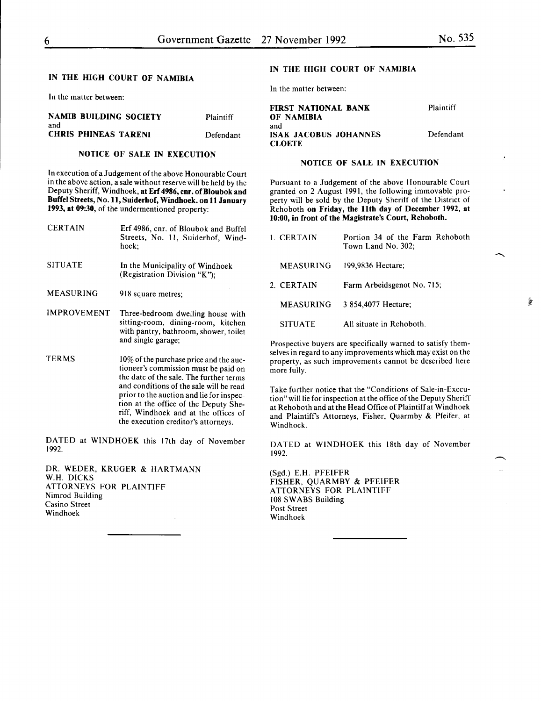# IN THE HIGH COURT OF NAMIBIA

In the matter between:

|     | <b>NAMIB BUILDING SOCIETY</b> | Plaintiff |
|-----|-------------------------------|-----------|
| and |                               |           |
|     | <b>CHRIS PHINEAS TARENI</b>   | Defendant |

# NOTICE OF SALE IN EXECUTION

In execution of a Judgement of the above Honourable Court in the above action, a sale without reserve will be held by the Deputy Sheriff, Windhoek, at Erf 4986, cnr. of Bloubok and Buffel Streets, No. 11, Suiderhof, Windhoek. on 11 January 1993, at 09:30, of the undermentioned property:

| <b>CERTAIN</b>     | Erf 4986, cnr. of Bloubok and Buffel<br>Streets, No. 11, Suiderhof, Wind-<br>hoek;                                                                                                                               |
|--------------------|------------------------------------------------------------------------------------------------------------------------------------------------------------------------------------------------------------------|
| <b>SITUATE</b>     | In the Municipality of Windhoek<br>(Registration Division "K");                                                                                                                                                  |
| MEASURING          | 918 square metres:                                                                                                                                                                                               |
| <b>IMPROVEMENT</b> | Three-bedroom dwelling house with<br>sitting-room, dining-room, kitchen<br>with pantry, bathroom, shower, toilet<br>and single garage:                                                                           |
| TERMS              | 10% of the purchase price and the auc-<br>tioneer's commission must be paid on<br>the date of the sale. The further terms<br>and conditions of the sale will be read<br>prior to the auction and lie for inspec- |

riff, Windhoek and at the offices of the execution creditor's attorneys. DATED at WINDHOEK this 17th day of November

tion at the office of the Deputy She-

DR. WEDER, KRUGER & HARTMANN W.H. DICKS ATTORNEYS FOR PLAINTIFF Nimrod Building

Casino Street Windhoek

1992.

# IN THE HIGH COURT OF NAMIBIA

In the matter between:

FIRST NATIONAL BANK OF NAMIBIA and ISAK JACOBUS JOHANNES **CLOETE** Plaintiff Defendant

# NOTICE OF SALE IN EXECUTION

Pursuant to a Judgement of the above Honourable Court granted on 2 August 1991, the following immovable property will be sold by the Deputy Sheriff of the District of Rehoboth on Friday, the 11th day of December 1992, at 10:00, in front of the Magistrate's Court, Rehoboth.

| 1 CERTAIN        | Portion 34 of the Farm Rehoboth<br>Town Land No. 302; |
|------------------|-------------------------------------------------------|
| MEASURING        | 199,9836 Hectare;                                     |
| 2. CERTAIN       | Farm Arbeidsgenot No. 715;                            |
| <b>MEASURING</b> | 3 854,4077 Hectare;                                   |
| <b>SITUATE</b>   | All situate in Rehoboth.                              |

Prospective buyers are specifically warned to satisfy themselves in regard to any improvements which may exist on the property, as such improvements cannot be described here more fully.

Take further notice that the "Conditions of Sale-in-Execution" will lie for inspection at the office of the Deputy Sheriff at Rehoboth and at the Head Office of Plaintiff at Windhoek and Plaintiff's Attorneys, Fisher, Quarmby & Pfeifer, at Windhoek.

DATED at WINDHOEK this 18th day of November 1992.

(Sgd.) E.H. PFEIFER FISHER, QUARMBY & PFEIFER ATTORNEYS FOR PLAINTIFF 108 SWABS Building Post Street Windhoek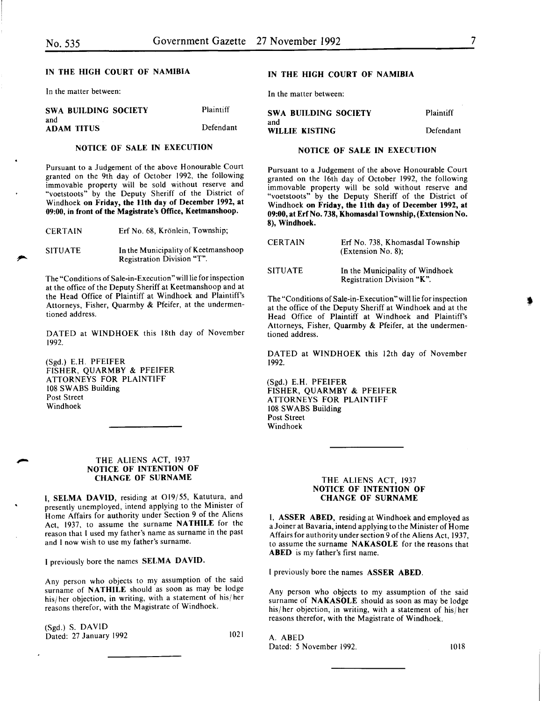# IN THE HIGH COURT OF NAMIBIA

In the matter between:

| <b>SWA BUILDING SOCIETY</b> | Plaintiff | <b>SWA BUILDING SOCIETY</b> | Plaintiff |
|-----------------------------|-----------|-----------------------------|-----------|
| and<br><b>ADAM TITUS</b>    | Defendant | and<br>WILLIE KISTING       | Defendan  |

#### NOTICE OF SALE IN EXECUTION

Pursuant to a Judgement of the above Honourable Court granted on the 9th day of October 1992, the following immovable property will be sold without reserve and "voetstoots" by the Deputy Sheriff of the District of Windhoek on Friday, the 11th day of December 1992, at 09:00, in front of the Magistrate's Office, Keetmanshoop.

| CERTAIN |  | Erf No. 68, Krönlein, Township; |  |
|---------|--|---------------------------------|--|
|---------|--|---------------------------------|--|

SITUATE In the Municipality of Keetmanshoop Registration Division "T".

The "Conditions of Sale-in-Execution" will lie for inspection at the office of the Deputy Sheriff at Keetmanshoop and at the Head Office of Plaintiff at Windhoek and Plaintiff's Attorneys, Fisher, Quarmby & Pfeifer, at the undermentioned address.

DATED at WINDHOEK this 18th day of November 1992.

(Sgd.) E.H. PFEIFER FISHER, QUARMBY & PFEIFER ATTORNEYS FOR PLAINTIFF 108 SWABS Building Post Street Windhoek

#### THE ALIENS ACT, 1937 NOTICE OF INTENTION OF CHANGE OF SURNAME

I. SELMA DAVID, residing at O19/55, Katutura, and presently unemployed, intend applying to the Minister of Home Affairs for authority under Section 9 of the Aliens Act, 1937, to assume the surname NATHILE for the reason that I used my father's name as surname in the past and I now wish to use my father's surname.

I previously bore the names SELMA DAVID.

Any person who objects to my assumption of the said surname of NATHILE should as soon as may be lodge his/ her objection, in writing, with a statement of his/ her reasons therefor, with the Magistrate of Windhoek.

(Sgd.) S. DA YID Dated: 27 January 1992 1021

# IN THE HIGH COURT OF NAMIBIA

In the matter between:

# WILLIE KISTING ıt

# NOTICE OF SALE IN EXECUTION

Pursuant to a Judgement of the above Honourable Court granted on the 16th day of October 1992, the following immovable property will be sold without reserve and "voetstoots" by the Deputy Sheriff of the District of Windhoek on Friday, the 11th day of December 1992, at 09:00, at Erf No. 738, Khomasdal Township, (Extension No. 8), Windhoek.

| <b>CERTAIN</b> | Erf No. 738. Khomasdal Township<br>(Extension No. 8):         |
|----------------|---------------------------------------------------------------|
| <b>SITUATE</b> | In the Municipality of Windhoek<br>Registration Division "K". |

The "Conditions of Sale-in-Execution" will lie for inspection at the office of the Deputy Sheriff at Windhoek and at the Head Office of Plaintiff at Windhoek and Plaintiff's Attorneys, Fisher, Quarmby & Pfeifer, at the undermentioned address.

DATED at WINDHOEK this 12th day of November 1992.

(Sgd.) E.H. PFEIFER FISHER, QUARMBY & PFEIFER ATTORNEYS FOR PLAINTIFF 108 SWABS Building Post Street Windhoek

# THE ALIENS ACT, 1937 NOTICE OF INTENTION OF CHANGE OF SURNAME

I, ASSER ABED, residing at Windhoek and employed as a Joiner at Bavaria, intend applying to the Minister of Home Affairs for authority under section 9 of the Aliens Act, 1937, to assume the surname NAKASOLE for the reasons that ABED is my father's first name.

I previously bore the names ASSER ABED.

Any person who objects to my assumption of the said surname of NAKASOLE should as soon as may be lodge his/ her objection, in writing, with a statement of his/ her reasons therefor, with the Magistrate of Windhoek.

A. ABED Dated: **5 November 1992.** 1018